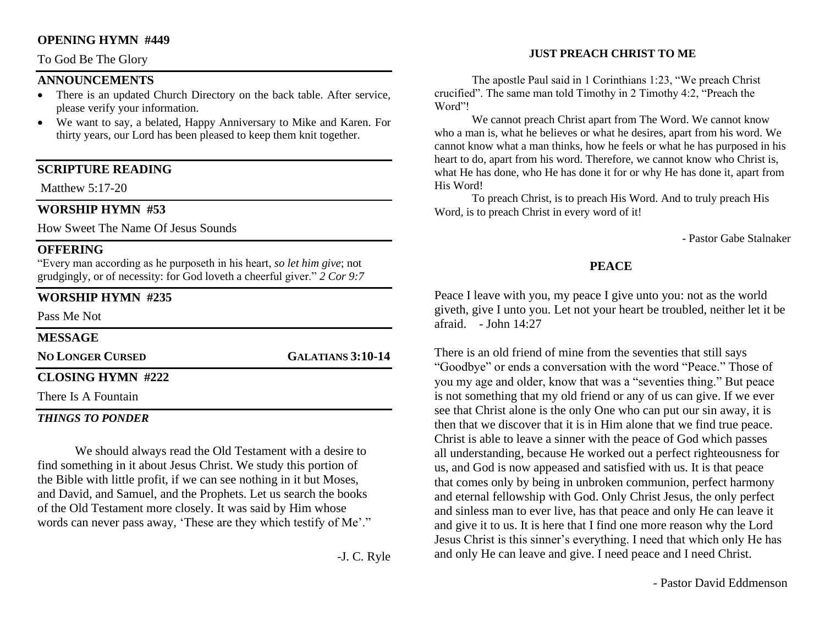# **OPENING HYMN #449**

# To God Be The Glory

### **ANNOUNCEMENTS**

- There is an updated Church Directory on the back table. After service, please verify your information.
- We want to say, a belated, Happy Anniversary to Mike and Karen. For thirty years, our Lord has been pleased to keep them knit together.

## **SCRIPTURE READING**

Matthew 5:17-20

# **WORSHIP HYMN #53**

How Sweet The Name Of Jesus Sounds

### **OFFERING**

"Every man according as he purposeth in his heart, *so let him give*; not grudgingly, or of necessity: for God loveth a cheerful giver." *2 Cor 9:7*

# **WORSHIP HYMN #235**

Pass Me Not

#### **MESSAGE**

**NO LONGER CURSED GALATIANS 3:10-14**

# **CLOSING HYMN #222**

There Is A Fountain

#### *THINGS TO PONDER*

We should always read the Old Testament with a desire to find something in it about Jesus Christ. We study this portion of the Bible with little profit, if we can see nothing in it but Moses, and David, and Samuel, and the Prophets. Let us search the books of the Old Testament more closely. It was said by Him whose words can never pass away, 'These are they which testify of Me'."

#### **JUST PREACH CHRIST TO ME**

The apostle Paul said in 1 Corinthians 1:23, "We preach Christ crucified". The same man told Timothy in 2 Timothy 4:2, "Preach the Word"!

We cannot preach Christ apart from The Word. We cannot know who a man is, what he believes or what he desires, apart from his word. We cannot know what a man thinks, how he feels or what he has purposed in his heart to do, apart from his word. Therefore, we cannot know who Christ is, what He has done, who He has done it for or why He has done it, apart from His Word!

To preach Christ, is to preach His Word. And to truly preach His Word, is to preach Christ in every word of it!

- Pastor Gabe Stalnaker

#### **PEACE**

Peace I leave with you, my peace I give unto you: not as the world giveth, give I unto you. Let not your heart be troubled, neither let it be afraid. - John 14:27

There is an old friend of mine from the seventies that still says "Goodbye" or ends a conversation with the word "Peace." Those of you my age and older, know that was a "seventies thing." But peace is not something that my old friend or any of us can give. If we ever see that Christ alone is the only One who can put our sin away, it is then that we discover that it is in Him alone that we find true peace. Christ is able to leave a sinner with the peace of God which passes all understanding, because He worked out a perfect righteousness for us, and God is now appeased and satisfied with us. It is that peace that comes only by being in unbroken communion, perfect harmony and eternal fellowship with God. Only Christ Jesus, the only perfect and sinless man to ever live, has that peace and only He can leave it and give it to us. It is here that I find one more reason why the Lord Jesus Christ is this sinner's everything. I need that which only He has and only He can leave and give. I need peace and I need Christ.